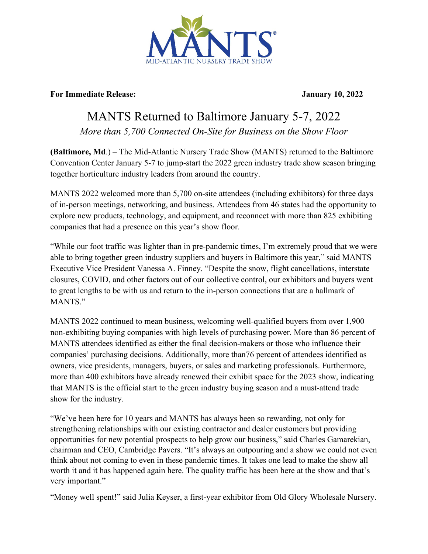

## **For Immediate Release: January 10, 2022**

## MANTS Returned to Baltimore January 5-7, 2022

*More than 5,700 Connected On-Site for Business on the Show Floor* 

**(Baltimore, Md**.) – The Mid-Atlantic Nursery Trade Show (MANTS) returned to the Baltimore Convention Center January 5-7 to jump-start the 2022 green industry trade show season bringing together horticulture industry leaders from around the country.

MANTS 2022 welcomed more than 5,700 on-site attendees (including exhibitors) for three days of in-person meetings, networking, and business. Attendees from 46 states had the opportunity to explore new products, technology, and equipment, and reconnect with more than 825 exhibiting companies that had a presence on this year's show floor.

"While our foot traffic was lighter than in pre-pandemic times, I'm extremely proud that we were able to bring together green industry suppliers and buyers in Baltimore this year," said MANTS Executive Vice President Vanessa A. Finney. "Despite the snow, flight cancellations, interstate closures, COVID, and other factors out of our collective control, our exhibitors and buyers went to great lengths to be with us and return to the in-person connections that are a hallmark of MANTS."

MANTS 2022 continued to mean business, welcoming well-qualified buyers from over 1,900 non-exhibiting buying companies with high levels of purchasing power. More than 86 percent of MANTS attendees identified as either the final decision-makers or those who influence their companies' purchasing decisions. Additionally, more than76 percent of attendees identified as owners, vice presidents, managers, buyers, or sales and marketing professionals. Furthermore, more than 400 exhibitors have already renewed their exhibit space for the 2023 show, indicating that MANTS is the official start to the green industry buying season and a must-attend trade show for the industry.

"We've been here for 10 years and MANTS has always been so rewarding, not only for strengthening relationships with our existing contractor and dealer customers but providing opportunities for new potential prospects to help grow our business," said Charles Gamarekian, chairman and CEO, Cambridge Pavers. "It's always an outpouring and a show we could not even think about not coming to even in these pandemic times. It takes one lead to make the show all worth it and it has happened again here. The quality traffic has been here at the show and that's very important."

"Money well spent!" said Julia Keyser, a first-year exhibitor from Old Glory Wholesale Nursery.